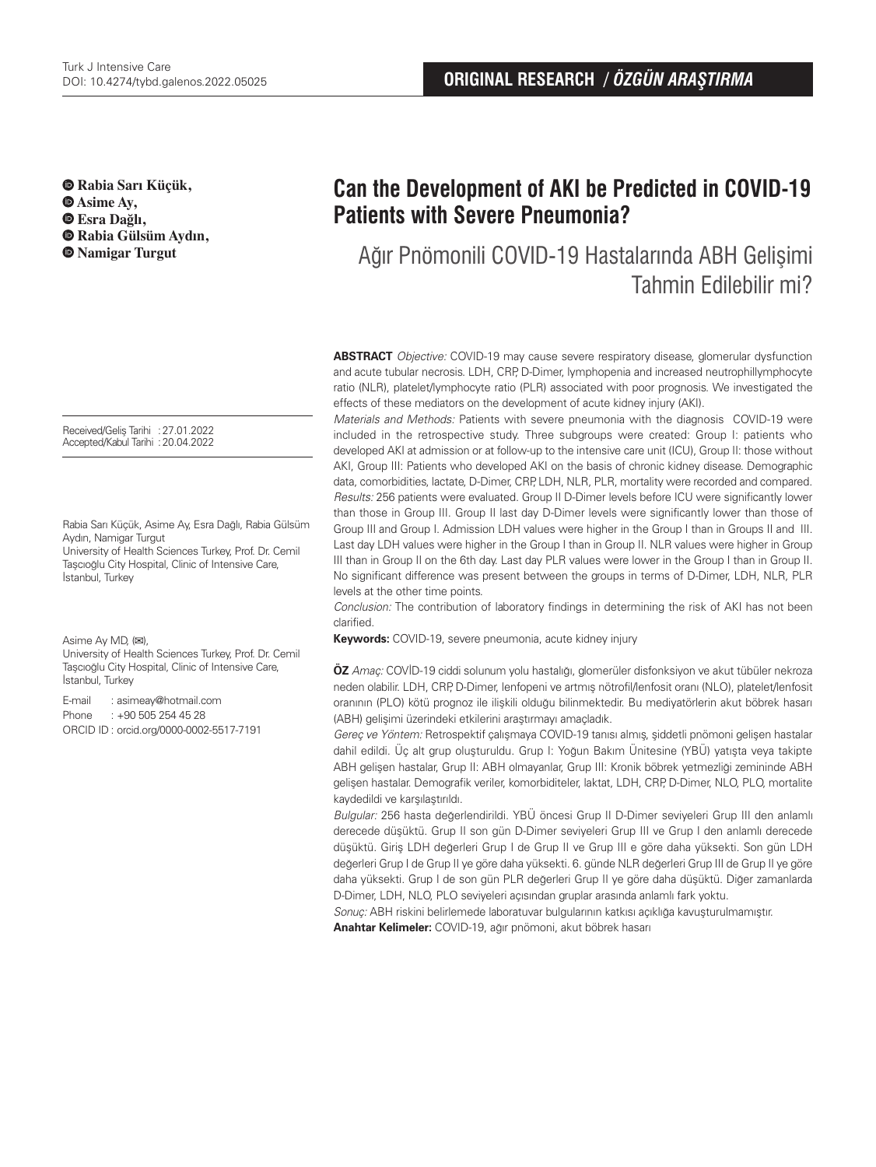**Rabia Sarı Küçük,**   $\Phi$  Asime Av.  **Esra Dağlı, Rabia Gülsüm Aydın, Namigar Turgut**

Received/Geliş Tarihi :27.01.2022 Accepted/Kabul Tarihi :20.04.2022

Rabia Sarı Küçük, Asime Ay, Esra Dağlı, Rabia Gülsüm Aydın, Namigar Turgut

University of Health Sciences Turkey, Prof. Dr. Cemil Taşcıoğlu City Hospital, Clinic of Intensive Care, İstanbul, Turkey

Asime Ay MD, (**✉**),

University of Health Sciences Turkey, Prof. Dr. Cemil Taşcıoğlu City Hospital, Clinic of Intensive Care, İstanbul, Turkey

E-mail : asimeay@hotmail.com Phone : +90 505 254 45 28 ORCID ID : orcid.org/0000-0002-5517-7191

# **Can the Development of AKI be Predicted in COVID-19 Patients with Severe Pneumonia?**

Ağır Pnömonili COVID-19 Hastalarında ABH Gelişimi Tahmin Edilebilir mi?

**ABSTRACT** Objective: COVID-19 may cause severe respiratory disease, glomerular dysfunction and acute tubular necrosis. LDH, CRP, D-Dimer, lymphopenia and increased neutrophillymphocyte ratio (NLR), platelet/lymphocyte ratio (PLR) associated with poor prognosis. We investigated the effects of these mediators on the development of acute kidney injury (AKI).

Materials and Methods: Patients with severe pneumonia with the diagnosis COVID-19 were included in the retrospective study. Three subgroups were created: Group I: patients who developed AKI at admission or at follow-up to the intensive care unit (ICU), Group II: those without AKI, Group III: Patients who developed AKI on the basis of chronic kidney disease. Demographic data, comorbidities, lactate, D-Dimer, CRP, LDH, NLR, PLR, mortality were recorded and compared. Results: 256 patients were evaluated. Group II D-Dimer levels before ICU were significantly lower than those in Group III. Group II last day D-Dimer levels were significantly lower than those of Group III and Group I. Admission LDH values were higher in the Group I than in Groups II and III. Last day LDH values were higher in the Group I than in Group II. NLR values were higher in Group III than in Group II on the 6th day. Last day PLR values were lower in the Group I than in Group II. No significant difference was present between the groups in terms of D-Dimer, LDH, NLR, PLR levels at the other time points.

Conclusion: The contribution of laboratory findings in determining the risk of AKI has not been clarified.

**Keywords:** COVID-19, severe pneumonia, acute kidney injury

**ÖZ** Amaç: COVİD-19 ciddi solunum yolu hastalığı, glomerüler disfonksiyon ve akut tübüler nekroza neden olabilir. LDH, CRP, D-Dimer, lenfopeni ve artmış nötrofil/lenfosit oranı (NLO), platelet/lenfosit oranının (PLO) kötü prognoz ile ilişkili olduğu bilinmektedir. Bu mediyatörlerin akut böbrek hasarı (ABH) gelişimi üzerindeki etkilerini araştırmayı amaçladık.

Gereç ve Yöntem: Retrospektif çalışmaya COVID-19 tanısı almış, şiddetli pnömoni gelişen hastalar dahil edildi. Üç alt grup oluşturuldu. Grup I: Yoğun Bakım Ünitesine (YBÜ) yatışta veya takipte ABH gelişen hastalar, Grup II: ABH olmayanlar, Grup III: Kronik böbrek yetmezliği zemininde ABH gelişen hastalar. Demografik veriler, komorbiditeler, laktat, LDH, CRP, D-Dimer, NLO, PLO, mortalite kaydedildi ve karşılaştırıldı.

Bulgular: 256 hasta değerlendirildi. YBÜ öncesi Grup II D-Dimer seviyeleri Grup III den anlamlı derecede düşüktü. Grup II son gün D-Dimer seviyeleri Grup III ve Grup I den anlamlı derecede düşüktü. Giriş LDH değerleri Grup I de Grup II ve Grup III e göre daha yüksekti. Son gün LDH değerleri Grup I de Grup II ye göre daha yüksekti. 6. günde NLR değerleri Grup III de Grup II ye göre daha yüksekti. Grup I de son gün PLR değerleri Grup II ye göre daha düşüktü. Diğer zamanlarda D-Dimer, LDH, NLO, PLO seviyeleri açısından gruplar arasında anlamlı fark yoktu.

Sonuç: ABH riskini belirlemede laboratuvar bulgularının katkısı açıklığa kavuşturulmamıştır.

**Anahtar Kelimeler:** COVID-19, ağır pnömoni, akut böbrek hasarı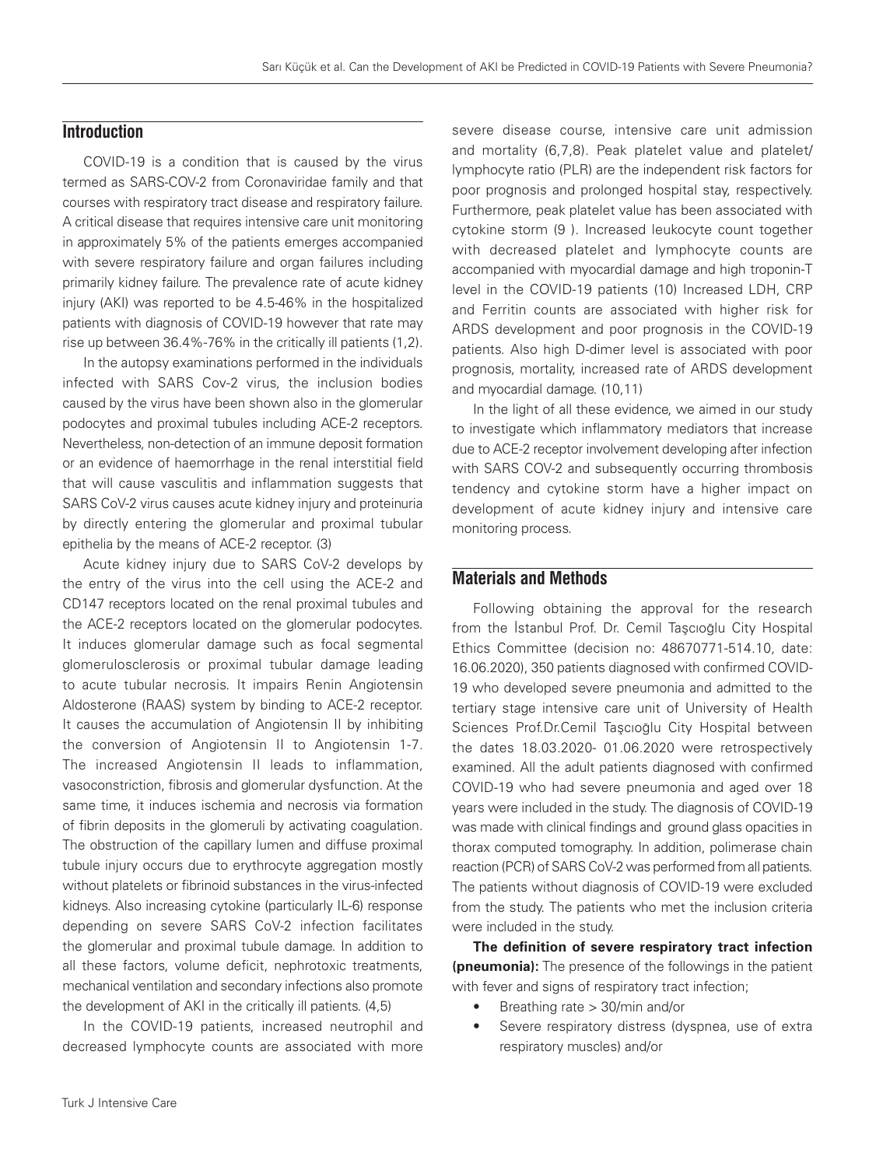# **Introduction**

COVID-19 is a condition that is caused by the virus termed as SARS-COV-2 from Coronaviridae family and that courses with respiratory tract disease and respiratory failure. A critical disease that requires intensive care unit monitoring in approximately 5% of the patients emerges accompanied with severe respiratory failure and organ failures including primarily kidney failure. The prevalence rate of acute kidney injury (AKI) was reported to be 4.5-46% in the hospitalized patients with diagnosis of COVID-19 however that rate may rise up between 36.4%-76% in the critically ill patients (1,2).

In the autopsy examinations performed in the individuals infected with SARS Cov-2 virus, the inclusion bodies caused by the virus have been shown also in the glomerular podocytes and proximal tubules including ACE-2 receptors. Nevertheless, non-detection of an immune deposit formation or an evidence of haemorrhage in the renal interstitial field that will cause vasculitis and inflammation suggests that SARS CoV-2 virus causes acute kidney injury and proteinuria by directly entering the glomerular and proximal tubular epithelia by the means of ACE-2 receptor. (3)

Acute kidney injury due to SARS CoV-2 develops by the entry of the virus into the cell using the ACE-2 and CD147 receptors located on the renal proximal tubules and the ACE-2 receptors located on the glomerular podocytes. It induces glomerular damage such as focal segmental glomerulosclerosis or proximal tubular damage leading to acute tubular necrosis. It impairs Renin Angiotensin Aldosterone (RAAS) system by binding to ACE-2 receptor. It causes the accumulation of Angiotensin II by inhibiting the conversion of Angiotensin II to Angiotensin 1-7. The increased Angiotensin II leads to inflammation, vasoconstriction, fibrosis and glomerular dysfunction. At the same time, it induces ischemia and necrosis via formation of fibrin deposits in the glomeruli by activating coagulation. The obstruction of the capillary lumen and diffuse proximal tubule injury occurs due to erythrocyte aggregation mostly without platelets or fibrinoid substances in the virus-infected kidneys. Also increasing cytokine (particularly IL-6) response depending on severe SARS CoV-2 infection facilitates the glomerular and proximal tubule damage. In addition to all these factors, volume deficit, nephrotoxic treatments, mechanical ventilation and secondary infections also promote the development of AKI in the critically ill patients. (4,5)

In the COVID-19 patients, increased neutrophil and decreased lymphocyte counts are associated with more

severe disease course, intensive care unit admission and mortality (6,7,8). Peak platelet value and platelet/ lymphocyte ratio (PLR) are the independent risk factors for poor prognosis and prolonged hospital stay, respectively. Furthermore, peak platelet value has been associated with cytokine storm (9 ). Increased leukocyte count together with decreased platelet and lymphocyte counts are accompanied with myocardial damage and high troponin-T level in the COVID-19 patients (10) Increased LDH, CRP and Ferritin counts are associated with higher risk for ARDS development and poor prognosis in the COVID-19 patients. Also high D-dimer level is associated with poor prognosis, mortality, increased rate of ARDS development and myocardial damage. (10,11)

In the light of all these evidence, we aimed in our study to investigate which inflammatory mediators that increase due to ACE-2 receptor involvement developing after infection with SARS COV-2 and subsequently occurring thrombosis tendency and cytokine storm have a higher impact on development of acute kidney injury and intensive care monitoring process.

## **Materials and Methods**

Following obtaining the approval for the research from the İstanbul Prof. Dr. Cemil Taşcıoğlu City Hospital Ethics Committee (decision no: 48670771-514.10, date: 16.06.2020), 350 patients diagnosed with confirmed COVID-19 who developed severe pneumonia and admitted to the tertiary stage intensive care unit of University of Health Sciences Prof.Dr.Cemil Taşcıoğlu City Hospital between the dates 18.03.2020- 01.06.2020 were retrospectively examined. All the adult patients diagnosed with confirmed COVID-19 who had severe pneumonia and aged over 18 years were included in the study. The diagnosis of COVID-19 was made with clinical findings and ground glass opacities in thorax computed tomography. In addition, polimerase chain reaction (PCR) of SARS CoV-2 was performed from all patients. The patients without diagnosis of COVID-19 were excluded from the study. The patients who met the inclusion criteria were included in the study.

**The definition of severe respiratory tract infection (pneumonia):** The presence of the followings in the patient with fever and signs of respiratory tract infection;

- Breathing rate > 30/min and/or
- Severe respiratory distress (dyspnea, use of extra respiratory muscles) and/or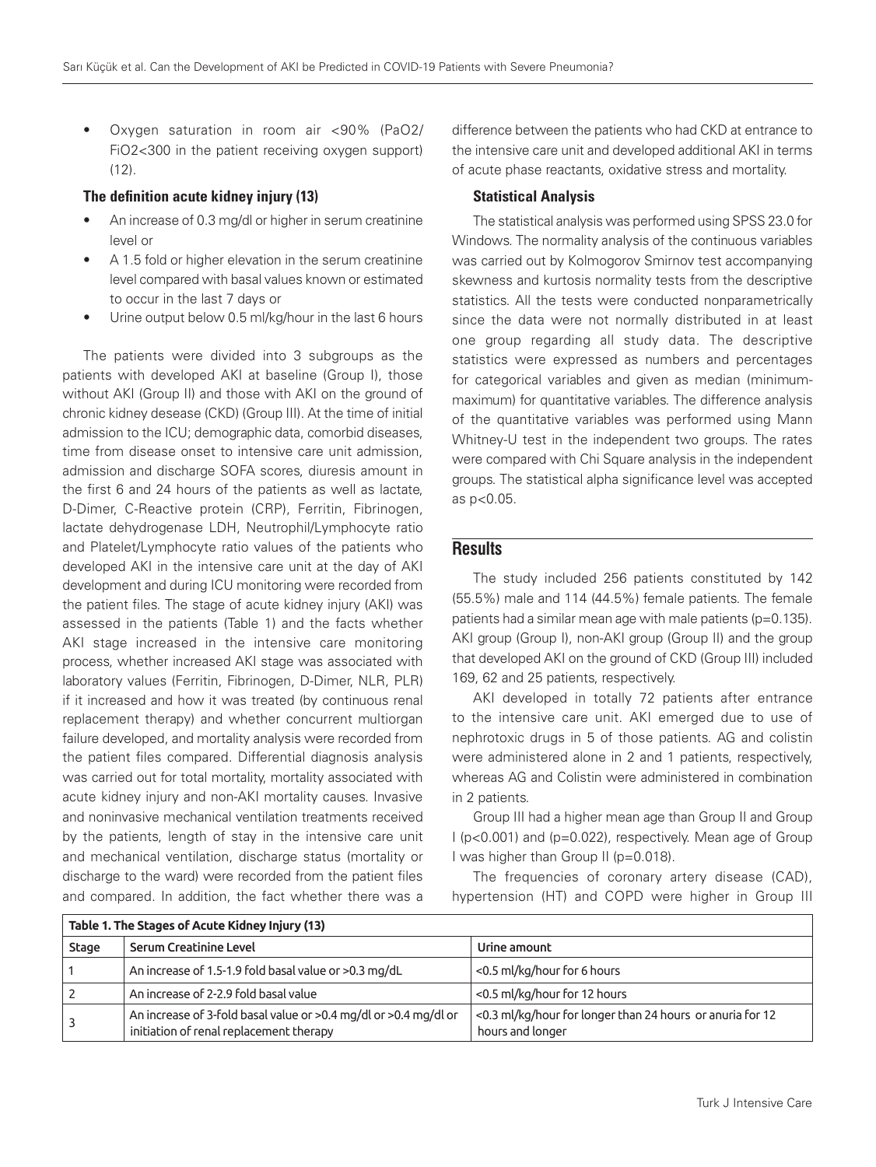• Oxygen saturation in room air <90% (PaO2/ FiO2<300 in the patient receiving oxygen support)  $(12)$ .

## The definition acute kidney injury (13)

- An increase of 0.3 mg/dl or higher in serum creatinine level or
- A 1.5 fold or higher elevation in the serum creatinine level compared with basal values known or estimated to occur in the last 7 days or
- Urine output below 0.5 ml/kg/hour in the last 6 hours

The patients were divided into 3 subgroups as the patients with developed AKI at baseline (Group I), those without AKI (Group II) and those with AKI on the ground of chronic kidney desease (CKD) (Group III). At the time of initial admission to the ICU; demographic data, comorbid diseases, time from disease onset to intensive care unit admission, admission and discharge SOFA scores, diuresis amount in the first 6 and 24 hours of the patients as well as lactate, D-Dimer, C-Reactive protein (CRP), Ferritin, Fibrinogen, lactate dehydrogenase LDH, Neutrophil/Lymphocyte ratio and Platelet/Lymphocyte ratio values of the patients who developed AKI in the intensive care unit at the day of AKI development and during ICU monitoring were recorded from the patient files. The stage of acute kidney injury (AKI) was assessed in the patients (Table 1) and the facts whether AKI stage increased in the intensive care monitoring process, whether increased AKI stage was associated with laboratory values (Ferritin, Fibrinogen, D-Dimer, NLR, PLR) if it increased and how it was treated (by continuous renal replacement therapy) and whether concurrent multiorgan failure developed, and mortality analysis were recorded from the patient files compared. Differential diagnosis analysis was carried out for total mortality, mortality associated with acute kidney injury and non-AKI mortality causes. Invasive and noninvasive mechanical ventilation treatments received by the patients, length of stay in the intensive care unit and mechanical ventilation, discharge status (mortality or discharge to the ward) were recorded from the patient files and compared. In addition, the fact whether there was a

difference between the patients who had CKD at entrance to the intensive care unit and developed additional AKI in terms of acute phase reactants, oxidative stress and mortality.

### Statistical Analysis

The statistical analysis was performed using SPSS 23.0 for Windows. The normality analysis of the continuous variables was carried out by Kolmogorov Smirnov test accompanying skewness and kurtosis normality tests from the descriptive statistics. All the tests were conducted nonparametrically since the data were not normally distributed in at least one group regarding all study data. The descriptive statistics were expressed as numbers and percentages for categorical variables and given as median (minimummaximum) for quantitative variables. The difference analysis of the quantitative variables was performed using Mann Whitney-U test in the independent two groups. The rates were compared with Chi Square analysis in the independent groups. The statistical alpha significance level was accepted as p<0.05.

## **Results**

The study included 256 patients constituted by 142 (55.5%) male and 114 (44.5%) female patients. The female patients had a similar mean age with male patients (p=0.135). AKI group (Group I), non-AKI group (Group II) and the group that developed AKI on the ground of CKD (Group III) included 169, 62 and 25 patients, respectively.

AKI developed in totally 72 patients after entrance to the intensive care unit. AKI emerged due to use of nephrotoxic drugs in 5 of those patients. AG and colistin were administered alone in 2 and 1 patients, respectively, whereas AG and Colistin were administered in combination in 2 patients.

Group III had a higher mean age than Group II and Group I (p<0.001) and (p=0.022), respectively. Mean age of Group I was higher than Group II (p=0.018).

The frequencies of coronary artery disease (CAD), hypertension (HT) and COPD were higher in Group III

| Table 1. The Stages of Acute Kidney Injury (13) |                                                                                                             |                                                                               |  |  |  |  |
|-------------------------------------------------|-------------------------------------------------------------------------------------------------------------|-------------------------------------------------------------------------------|--|--|--|--|
| Stage                                           | Serum Creatinine Level                                                                                      | Urine amount                                                                  |  |  |  |  |
|                                                 | An increase of 1.5-1.9 fold basal value or >0.3 mg/dL                                                       | <0.5 ml/kg/hour for 6 hours                                                   |  |  |  |  |
|                                                 | An increase of 2-2.9 fold basal value                                                                       | <0.5 ml/kg/hour for 12 hours                                                  |  |  |  |  |
|                                                 | An increase of 3-fold basal value or >0.4 mg/dl or >0.4 mg/dl or<br>initiation of renal replacement therapy | <0.3 ml/kg/hour for longer than 24 hours or anuria for 12<br>hours and longer |  |  |  |  |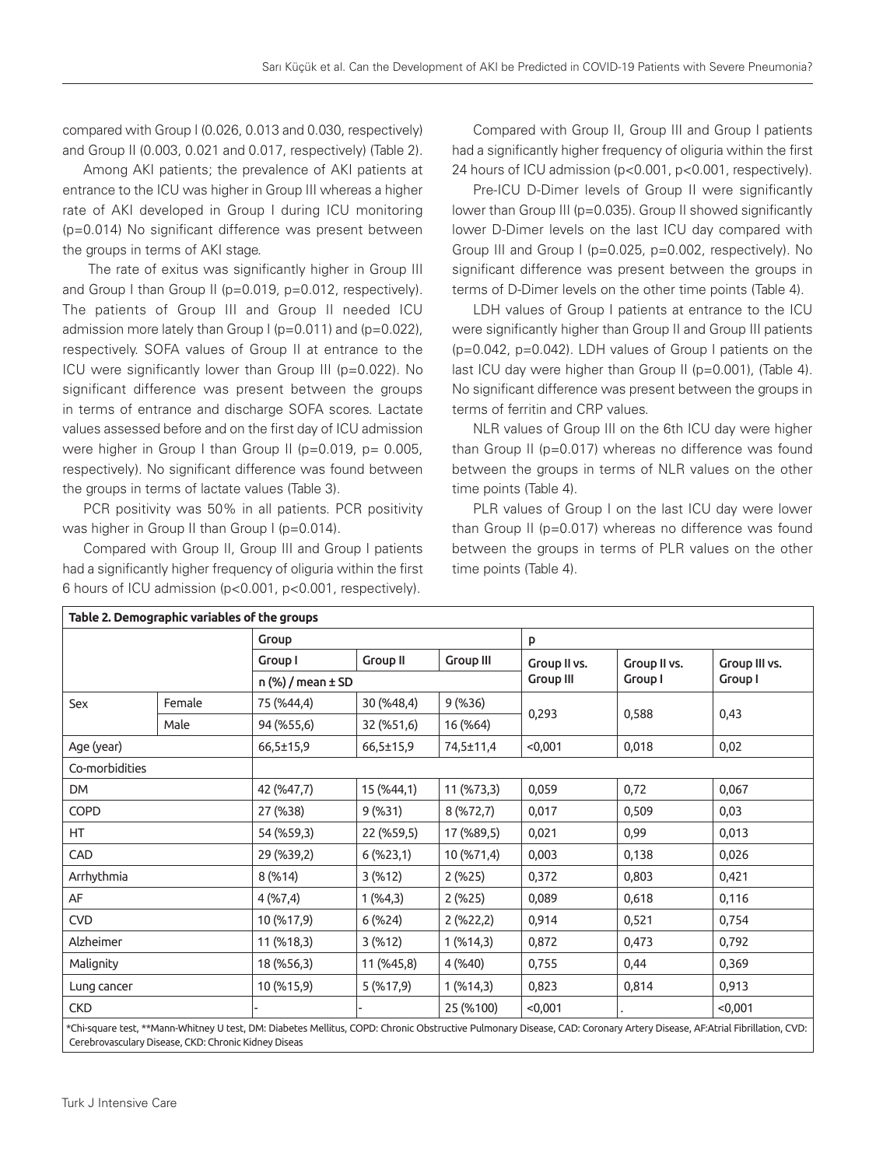compared with Group I (0.026, 0.013 and 0.030, respectively) and Group II (0.003, 0.021 and 0.017, respectively) (Table 2).

Among AKI patients; the prevalence of AKI patients at entrance to the ICU was higher in Group III whereas a higher rate of AKI developed in Group I during ICU monitoring (p=0.014) No significant difference was present between the groups in terms of AKI stage.

 The rate of exitus was significantly higher in Group III and Group I than Group II (p=0.019, p=0.012, respectively). The patients of Group III and Group II needed ICU admission more lately than Group I (p=0.011) and (p=0.022), respectively. SOFA values of Group II at entrance to the ICU were significantly lower than Group III (p=0.022). No significant difference was present between the groups in terms of entrance and discharge SOFA scores. Lactate values assessed before and on the first day of ICU admission were higher in Group I than Group II ( $p=0.019$ ,  $p=0.005$ , respectively). No significant difference was found between the groups in terms of lactate values (Table 3).

PCR positivity was 50% in all patients. PCR positivity was higher in Group II than Group I (p=0.014).

Compared with Group II, Group III and Group I patients had a significantly higher frequency of oliguria within the first 6 hours of ICU admission (p<0.001, p<0.001, respectively).

Compared with Group II, Group III and Group I patients had a significantly higher frequency of oliguria within the first 24 hours of ICU admission (p<0.001, p<0.001, respectively).

Pre-ICU D-Dimer levels of Group II were significantly lower than Group III (p=0.035). Group II showed significantly lower D-Dimer levels on the last ICU day compared with Group III and Group I (p=0.025, p=0.002, respectively). No significant difference was present between the groups in terms of D-Dimer levels on the other time points (Table 4).

LDH values of Group I patients at entrance to the ICU were significantly higher than Group II and Group III patients (p=0.042, p=0.042). LDH values of Group I patients on the last ICU day were higher than Group II (p=0.001), (Table 4). No significant difference was present between the groups in terms of ferritin and CRP values.

NLR values of Group III on the 6th ICU day were higher than Group II (p=0.017) whereas no difference was found between the groups in terms of NLR values on the other time points (Table 4).

PLR values of Group I on the last ICU day were lower than Group II (p=0.017) whereas no difference was found between the groups in terms of PLR values on the other time points (Table 4).

|                |        | Group      |                         |                  |              | p            |               |  |  |
|----------------|--------|------------|-------------------------|------------------|--------------|--------------|---------------|--|--|
|                |        | Group I    | <b>Group II</b>         | <b>Group III</b> | Group II vs. | Group II vs. | Group III vs. |  |  |
|                |        |            | $n$ (%) / mean $\pm$ SD |                  |              | Group I      | Group I       |  |  |
| Sex            | Female | 75 (%44,4) | 30 (%48,4)              | 9 (%36)          | 0,293        | 0,588        | 0,43          |  |  |
|                | Male   | 94 (%55,6) | 32 (%51,6)              | 16 (%64)         |              |              |               |  |  |
| Age (year)     |        | 66,5±15,9  | 66,5±15,9               | 74,5±11,4        | < 0,001      | 0,018        | 0,02          |  |  |
| Co-morbidities |        |            |                         |                  |              |              |               |  |  |
| DM             |        | 42 (%47,7) | 15 (%44,1)              | 11 (%73,3)       | 0,059        | 0,72         | 0,067         |  |  |
| COPD           |        | 27 (%38)   | 9(%31)                  | 8(%72,7)         | 0,017        | 0,509        | 0,03          |  |  |
| HT.            |        | 54 (%59,3) | 22 (%59,5)              | 17 (%89,5)       | 0,021        | 0,99         | 0,013         |  |  |
| CAD            |        | 29 (%39,2) | 6(%23,1)                | 10 (%71,4)       | 0,003        | 0,138        | 0,026         |  |  |
| Arrhythmia     |        | 8(%14)     | 3(%12)                  | 2(%25)           | 0,372        | 0,803        | 0,421         |  |  |
| AF             |        | 4(%7,4)    | 1( %4,3)                | 2(%25)           | 0,089        | 0,618        | 0,116         |  |  |
| <b>CVD</b>     |        | 10 (%17,9) | 6(%24)                  | 2(%22,2)         | 0,914        | 0,521        | 0,754         |  |  |
| Alzheimer      |        | 11 (%18,3) | 3(%12)                  | $1($ %14,3)      | 0,872        | 0,473        | 0,792         |  |  |
| Malignity      |        | 18 (%56,3) | 11 (%45,8)              | 4 (%40)          | 0,755        | 0,44         | 0,369         |  |  |
| Lung cancer    |        | 10 (%15,9) | 5( %17,9)               | $1($ %14,3)      | 0,823        | 0,814        | 0,913         |  |  |
| <b>CKD</b>     |        |            |                         | 25 (%100)        | < 0.001      |              | < 0,001       |  |  |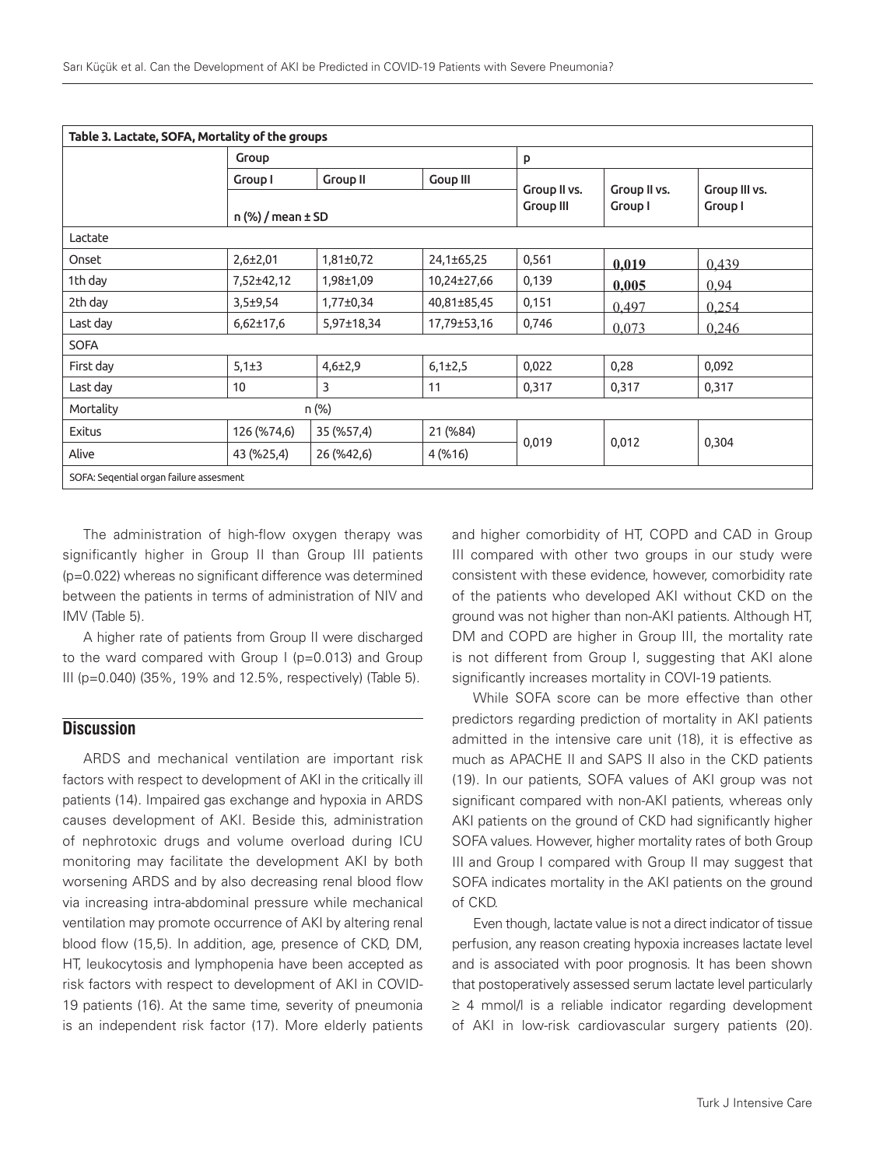| Table 3. Lactate, SOFA, Mortality of the groups |                         |                 |                 |                                  |                         |                          |  |  |
|-------------------------------------------------|-------------------------|-----------------|-----------------|----------------------------------|-------------------------|--------------------------|--|--|
|                                                 | Group                   |                 |                 | p                                |                         |                          |  |  |
|                                                 | Group I                 | <b>Group II</b> | <b>Goup III</b> |                                  | Group II vs.<br>Group I | Group III vs.<br>Group I |  |  |
|                                                 | $n$ (%) / mean $\pm$ SD |                 |                 | Group II vs.<br><b>Group III</b> |                         |                          |  |  |
| Lactate                                         |                         |                 |                 |                                  |                         |                          |  |  |
| Onset                                           | $2,6{\pm}2,01$          | $1,81\pm0,72$   | 24,1±65,25      | 0,561                            | 0,019                   | 0,439                    |  |  |
| 1th day                                         | 7,52±42,12              | 1,98±1,09       | 10,24±27,66     | 0,139                            | 0,005                   | 0.94                     |  |  |
| 2th day                                         | $3,5+9,54$              | $1,77\pm0,34$   | 40,81±85,45     | 0,151                            | 0.497                   | 0.254                    |  |  |
| Last day                                        | $6,62{\pm}17,6$         | 5,97±18,34      | 17,79±53,16     | 0,746                            | 0,073                   | 0,246                    |  |  |
| <b>SOFA</b>                                     |                         |                 |                 |                                  |                         |                          |  |  |
| First day                                       | $5,1\pm3$               | $4,6{\pm}2,9$   | $6,1\pm2,5$     | 0,022                            | 0,28                    | 0,092                    |  |  |
| Last day                                        | 10                      | 3               | 11              | 0,317                            | 0,317                   | 0,317                    |  |  |
| Mortality<br>n (%)                              |                         |                 |                 |                                  |                         |                          |  |  |
| <b>Exitus</b>                                   | 126 (%74,6)             | 35 (%57,4)      | 21 (%84)        |                                  |                         |                          |  |  |
| Alive                                           | 43 (%25,4)              | 26 (%42,6)      | 4(%16)          | 0,019                            | 0,012                   | 0,304                    |  |  |
| SOFA: Segential organ failure assesment         |                         |                 |                 |                                  |                         |                          |  |  |

The administration of high-flow oxygen therapy was significantly higher in Group II than Group III patients (p=0.022) whereas no significant difference was determined between the patients in terms of administration of NIV and IMV (Table 5).

A higher rate of patients from Group II were discharged to the ward compared with Group I (p=0.013) and Group III (p=0.040) (35%, 19% and 12.5%, respectively) (Table 5).

# **Discussion**

ARDS and mechanical ventilation are important risk factors with respect to development of AKI in the critically ill patients (14). Impaired gas exchange and hypoxia in ARDS causes development of AKI. Beside this, administration of nephrotoxic drugs and volume overload during ICU monitoring may facilitate the development AKI by both worsening ARDS and by also decreasing renal blood flow via increasing intra-abdominal pressure while mechanical ventilation may promote occurrence of AKI by altering renal blood flow (15,5). In addition, age, presence of CKD, DM, HT, leukocytosis and lymphopenia have been accepted as risk factors with respect to development of AKI in COVID-19 patients (16). At the same time, severity of pneumonia is an independent risk factor (17). More elderly patients

and higher comorbidity of HT, COPD and CAD in Group III compared with other two groups in our study were consistent with these evidence, however, comorbidity rate of the patients who developed AKI without CKD on the ground was not higher than non-AKI patients. Although HT, DM and COPD are higher in Group III, the mortality rate is not different from Group I, suggesting that AKI alone significantly increases mortality in COVI-19 patients.

While SOFA score can be more effective than other predictors regarding prediction of mortality in AKI patients admitted in the intensive care unit (18), it is effective as much as APACHE II and SAPS II also in the CKD patients (19). In our patients, SOFA values of AKI group was not significant compared with non-AKI patients, whereas only AKI patients on the ground of CKD had significantly higher SOFA values. However, higher mortality rates of both Group III and Group I compared with Group II may suggest that SOFA indicates mortality in the AKI patients on the ground of CKD.

Even though, lactate value is not a direct indicator of tissue perfusion, any reason creating hypoxia increases lactate level and is associated with poor prognosis. It has been shown that postoperatively assessed serum lactate level particularly ≥ 4 mmol/l is a reliable indicator regarding development of AKI in low-risk cardiovascular surgery patients (20).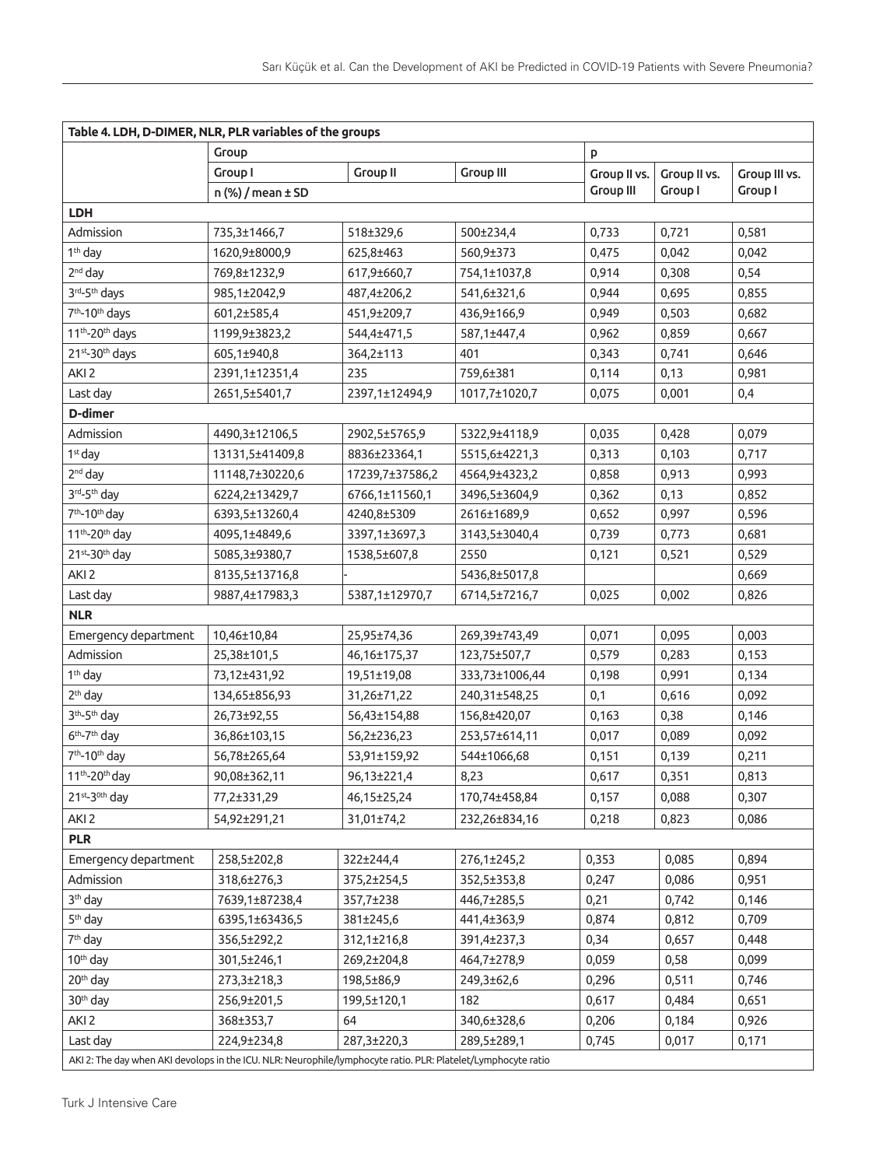| Table 4. LDH, D-DIMER, NLR, PLR variables of the groups                                                       |                         |                 |                  |                  |              |               |  |  |
|---------------------------------------------------------------------------------------------------------------|-------------------------|-----------------|------------------|------------------|--------------|---------------|--|--|
|                                                                                                               | Group                   |                 |                  | p                |              |               |  |  |
|                                                                                                               | Group I                 | <b>Group II</b> | <b>Group III</b> | Group II vs.     | Group II vs. | Group III vs. |  |  |
|                                                                                                               | $n$ (%) / mean $\pm$ SD |                 |                  | <b>Group III</b> | Group I      | Group I       |  |  |
| <b>LDH</b>                                                                                                    |                         |                 |                  |                  |              |               |  |  |
| Admission                                                                                                     | 735,3±1466,7            | 518±329,6       | 500±234,4        | 0,733            | 0,721        | 0,581         |  |  |
| 1 <sup>th</sup> day                                                                                           | 1620,9±8000,9           | 625,8±463       | 560,9±373        | 0,475            | 0,042        | 0,042         |  |  |
| 2 <sup>nd</sup> day                                                                                           | 769,8±1232,9            | 617,9±660,7     | 754,1±1037,8     | 0,914            | 0,308        | 0,54          |  |  |
| 3rd-5 <sup>th</sup> days                                                                                      | 985,1±2042,9            | 487,4±206,2     | 541,6±321,6      | 0,944            | 0,695        | 0,855         |  |  |
| 7 <sup>th</sup> -10 <sup>th</sup> days                                                                        | 601,2±585,4             | 451,9±209,7     | 436,9±166,9      | 0,949            | 0,503        | 0,682         |  |  |
| 11 <sup>th</sup> -20 <sup>th</sup> days                                                                       | 1199,9±3823,2           | 544,4±471,5     | 587,1±447,4      | 0,962            | 0,859        | 0,667         |  |  |
| 21st-30th days                                                                                                | 605,1±940,8             | 364,2±113       | 401              | 0,343            | 0,741        | 0,646         |  |  |
| AKI <sub>2</sub>                                                                                              | 2391,1±12351,4          | 235             | 759,6±381        | 0,114            | 0,13         | 0,981         |  |  |
| Last day                                                                                                      | 2651,5±5401,7           | 2397,1±12494,9  | 1017,7±1020,7    | 0,075            | 0,001        | 0,4           |  |  |
| D-dimer                                                                                                       |                         |                 |                  |                  |              |               |  |  |
| Admission                                                                                                     | 4490,3±12106,5          | 2902,5±5765,9   | 5322,9±4118,9    | 0,035            | 0,428        | 0,079         |  |  |
| 1 <sup>st</sup> day                                                                                           | 13131,5±41409,8         | 8836±23364,1    | 5515,6±4221,3    | 0,313            | 0,103        | 0,717         |  |  |
| $2nd$ day                                                                                                     | 11148,7±30220,6         | 17239,7±37586,2 | 4564,9±4323,2    | 0,858            | 0,913        | 0,993         |  |  |
| 3rd-5th day                                                                                                   | 6224,2±13429,7          | 6766,1±11560,1  | 3496,5±3604,9    | 0,362            | 0,13         | 0,852         |  |  |
| 7 <sup>th</sup> -10 <sup>th</sup> day                                                                         | 6393,5±13260,4          | 4240,8±5309     | 2616±1689,9      | 0,652            | 0,997        | 0,596         |  |  |
| 11 <sup>th</sup> -20 <sup>th</sup> day                                                                        | 4095,1±4849,6           | 3397,1±3697,3   | 3143,5±3040,4    | 0,739            | 0,773        | 0,681         |  |  |
| 21st-30th day                                                                                                 | 5085,3±9380,7           | 1538,5±607,8    | 2550             | 0,121            | 0,521        | 0,529         |  |  |
| AKI <sub>2</sub>                                                                                              | 8135,5±13716,8          |                 | 5436,8±5017,8    |                  |              | 0,669         |  |  |
| Last day                                                                                                      | 9887,4±17983,3          | 5387,1±12970,7  | 6714,5±7216,7    | 0,025            | 0,002        | 0,826         |  |  |
| <b>NLR</b>                                                                                                    |                         |                 |                  |                  |              |               |  |  |
| Emergency department                                                                                          | 10,46±10,84             | 25,95±74,36     | 269,39±743,49    | 0,071            | 0,095        | 0,003         |  |  |
| Admission                                                                                                     | 25,38±101,5             | 46,16±175,37    | 123,75±507,7     | 0,579            | 0,283        | 0,153         |  |  |
| 1 <sup>th</sup> day                                                                                           | 73,12±431,92            | 19,51±19,08     | 333,73±1006,44   | 0,198            | 0,991        | 0,134         |  |  |
| 2 <sup>th</sup> day                                                                                           | 134,65±856,93           | 31,26±71,22     | 240,31±548,25    | 0,1              | 0,616        | 0,092         |  |  |
| 3 <sup>th</sup> -5 <sup>th</sup> day                                                                          | 26,73±92,55             | 56,43±154,88    | 156,8±420,07     | 0,163            | 0,38         | 0,146         |  |  |
| $6th-7th$ day                                                                                                 | 36,86±103,15            | 56,2±236,23     | 253,57±614,11    | 0,017            | 0,089        | 0,092         |  |  |
| 7 <sup>th</sup> -10 <sup>th</sup> day                                                                         | 56,78±265,64            | 53,91±159,92    | 544±1066,68      | 0,151            | 0,139        | 0,211         |  |  |
| $11^{\text{th}}$ -20 <sup>th</sup> day                                                                        | 90,08±362,11            | 96,13±221,4     | 8,23             | 0,617            | 0,351        | 0,813         |  |  |
| $21$ <sup>st</sup> -3 <sup>0th</sup> day                                                                      | 77,2±331,29             | 46,15±25,24     | 170,74±458,84    | 0,157            | 0,088        | 0,307         |  |  |
| AKI <sub>2</sub>                                                                                              | 54,92±291,21            | 31,01±74,2      | 232,26±834,16    | 0,218            | 0,823        | 0,086         |  |  |
| <b>PLR</b>                                                                                                    |                         |                 |                  |                  |              |               |  |  |
| Emergency department                                                                                          | 258,5±202,8             | 322±244,4       | 276,1±245,2      | 0,353            | 0,085        | 0,894         |  |  |
| Admission                                                                                                     | 318,6±276,3             | 375,2±254,5     | 352,5±353,8      | 0,247            | 0,086        | 0,951         |  |  |
| 3 <sup>th</sup> day                                                                                           | 7639,1±87238,4          | 357,7±238       | 446,7±285,5      | 0,21             | 0,742        | 0,146         |  |  |
| 5 <sup>th</sup> day                                                                                           | 6395,1±63436,5          | 381±245,6       | 441,4±363,9      | 0,874            | 0,812        | 0,709         |  |  |
| 7 <sup>th</sup> day                                                                                           | 356,5±292,2             | 312,1±216,8     | 391,4±237,3      | 0,34             | 0,657        | 0,448         |  |  |
| 10 <sup>th</sup> day                                                                                          | 301,5±246,1             | 269,2±204,8     | 464,7±278,9      | 0,059            | 0,58         | 0,099         |  |  |
| 20 <sup>th</sup> day                                                                                          | 273,3±218,3             | 198,5±86,9      | 249,3±62,6       | 0,296            | 0,511        | 0,746         |  |  |
| 30 <sup>th</sup> day                                                                                          | 256,9±201,5             | 199,5±120,1     | 182              | 0,617            | 0,484        | 0,651         |  |  |
| AKI <sub>2</sub>                                                                                              | 368±353,7               | 64              | 340,6±328,6      | 0,206            | 0,184        | 0,926         |  |  |
| Last day                                                                                                      | 224,9±234,8             | 287,3±220,3     | 289,5±289,1      | 0,745            | 0,017        | 0,171         |  |  |
| AKI 2: The day when AKI devolops in the ICU. NLR: Neurophile/lymphocyte ratio. PLR: Platelet/Lymphocyte ratio |                         |                 |                  |                  |              |               |  |  |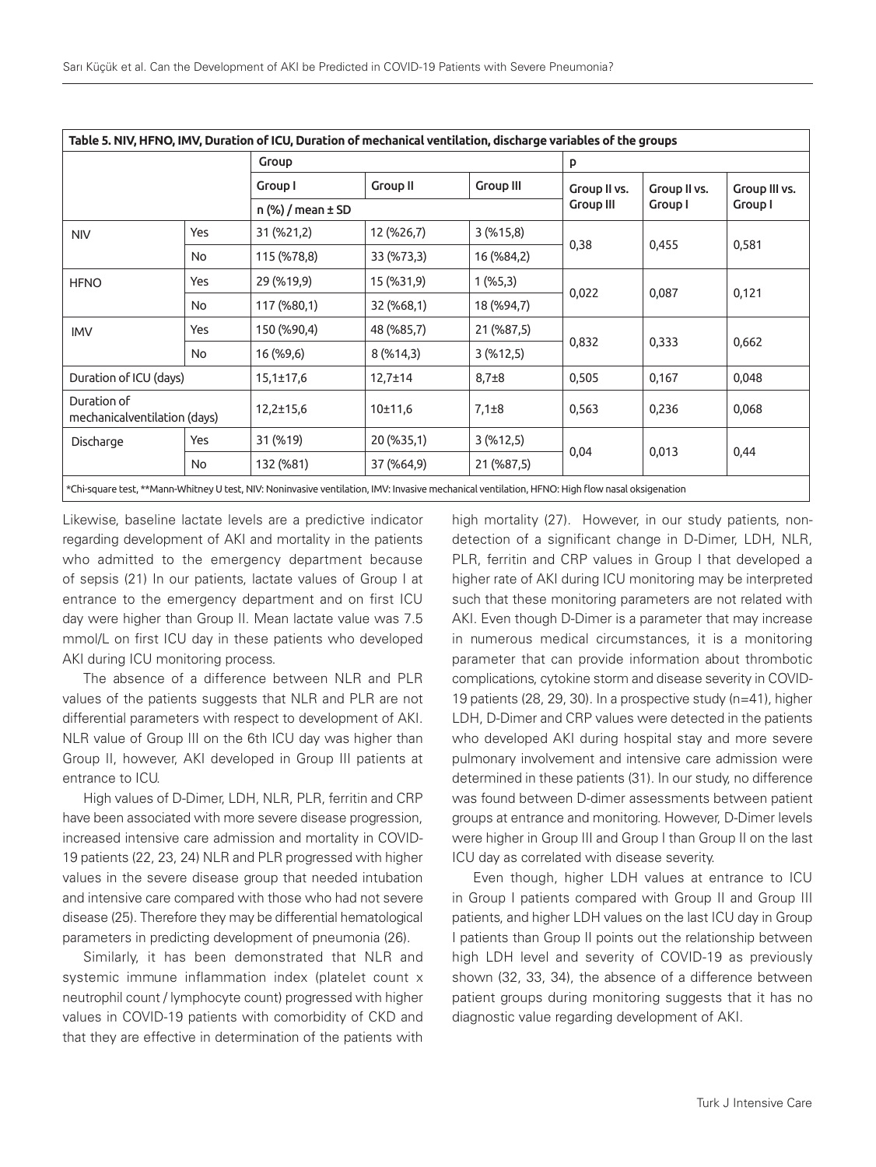|                                             |     | Table 5. NIV, HFNO, IMV, Duration of ICU, Duration of mechanical ventilation, discharge variables of the groups                                 |                   |                  |              |              |               |  |  |
|---------------------------------------------|-----|-------------------------------------------------------------------------------------------------------------------------------------------------|-------------------|------------------|--------------|--------------|---------------|--|--|
|                                             |     | Group                                                                                                                                           |                   |                  |              | P            |               |  |  |
|                                             |     | Group I                                                                                                                                         | <b>Group II</b>   | <b>Group III</b> | Group II vs. | Group II vs. | Group III vs. |  |  |
|                                             |     |                                                                                                                                                 | n (%) / mean ± SD |                  |              | Group I      | Group I       |  |  |
| <b>NIV</b>                                  | Yes | 31 (%21,2)                                                                                                                                      | 12 (%26,7)        | 3(%15,8)         |              | 0,455        | 0,581         |  |  |
|                                             | No  | 115 (%78,8)                                                                                                                                     | 33 (%73,3)        | 16 (%84,2)       | 0,38         |              |               |  |  |
| <b>HFNO</b>                                 | Yes | 29 (%19,9)                                                                                                                                      | 15 (%31,9)        | $1($ %5,3)       |              | 0,087        | 0,121         |  |  |
|                                             | No. | 117 (%80,1)                                                                                                                                     | 32 (%68,1)        | 18 (%94,7)       | 0,022        |              |               |  |  |
| <b>IMV</b>                                  | Yes | 150 (%90,4)                                                                                                                                     | 48 (%85,7)        | 21 (%87,5)       |              | 0,333        | 0,662         |  |  |
|                                             | No  | 16 (%9,6)                                                                                                                                       | 8(%14,3)          | 3(%12,5)         | 0,832        |              |               |  |  |
| Duration of ICU (days)                      |     | $15,1\pm17,6$                                                                                                                                   | $12,7 \pm 14$     | $8,7\pm8$        | 0,505        | 0,167        | 0,048         |  |  |
| Duration of<br>mechanicalventilation (days) |     | $12,2 \pm 15,6$                                                                                                                                 | 10±11,6           | $7,1\pm8$        | 0,563        | 0,236        | 0,068         |  |  |
| Discharge                                   | Yes | 31 (%19)                                                                                                                                        | 20 (%35,1)        | 3(%12,5)         |              | 0,013        |               |  |  |
|                                             | No  | 132 (%81)                                                                                                                                       | 37 (%64,9)        | 21 (%87,5)       | 0,04         |              | 0,44          |  |  |
|                                             |     | *Chi-square test, **Mann-Whitney U test, NIV: Noninvasive ventilation, IMV: Invasive mechanical ventilation, HFNO: High flow nasal oksigenation |                   |                  |              |              |               |  |  |

Likewise, baseline lactate levels are a predictive indicator regarding development of AKI and mortality in the patients who admitted to the emergency department because of sepsis (21) In our patients, lactate values of Group I at entrance to the emergency department and on first ICU day were higher than Group II. Mean lactate value was 7.5 mmol/L on first ICU day in these patients who developed AKI during ICU monitoring process.

The absence of a difference between NLR and PLR values of the patients suggests that NLR and PLR are not differential parameters with respect to development of AKI. NLR value of Group III on the 6th ICU day was higher than Group II, however, AKI developed in Group III patients at entrance to ICU.

High values of D-Dimer, LDH, NLR, PLR, ferritin and CRP have been associated with more severe disease progression, increased intensive care admission and mortality in COVID-19 patients (22, 23, 24) NLR and PLR progressed with higher values in the severe disease group that needed intubation and intensive care compared with those who had not severe disease (25). Therefore they may be differential hematological parameters in predicting development of pneumonia (26).

Similarly, it has been demonstrated that NLR and systemic immune inflammation index (platelet count x neutrophil count / lymphocyte count) progressed with higher values in COVID-19 patients with comorbidity of CKD and that they are effective in determination of the patients with

high mortality (27). However, in our study patients, nondetection of a significant change in D-Dimer, LDH, NLR, PLR, ferritin and CRP values in Group I that developed a higher rate of AKI during ICU monitoring may be interpreted such that these monitoring parameters are not related with AKI. Even though D-Dimer is a parameter that may increase in numerous medical circumstances, it is a monitoring parameter that can provide information about thrombotic complications, cytokine storm and disease severity in COVID-19 patients (28, 29, 30). In a prospective study (n=41), higher LDH, D-Dimer and CRP values were detected in the patients who developed AKI during hospital stay and more severe pulmonary involvement and intensive care admission were determined in these patients (31). In our study, no difference was found between D-dimer assessments between patient groups at entrance and monitoring. However, D-Dimer levels were higher in Group III and Group I than Group II on the last ICU day as correlated with disease severity.

Even though, higher LDH values at entrance to ICU in Group I patients compared with Group II and Group III patients, and higher LDH values on the last ICU day in Group I patients than Group II points out the relationship between high LDH level and severity of COVID-19 as previously shown (32, 33, 34), the absence of a difference between patient groups during monitoring suggests that it has no diagnostic value regarding development of AKI.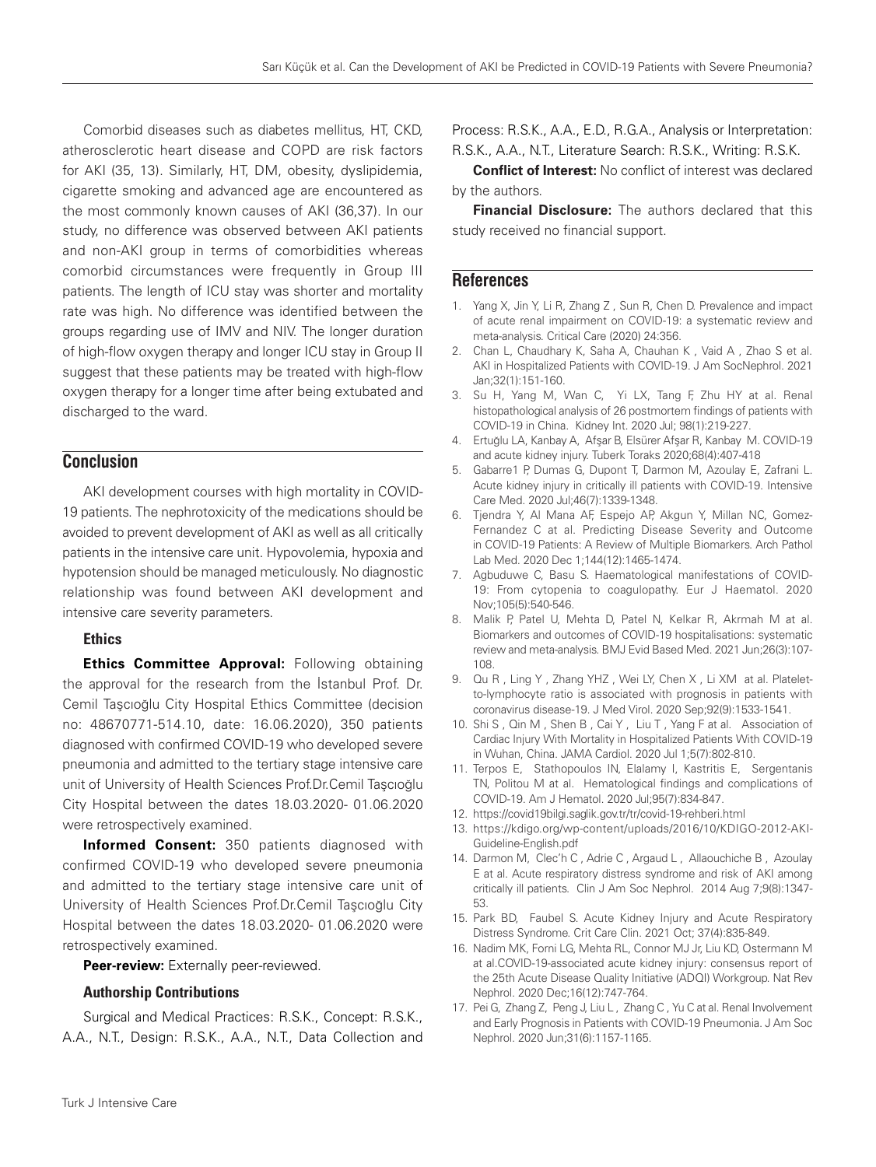Comorbid diseases such as diabetes mellitus, HT, CKD, atherosclerotic heart disease and COPD are risk factors for AKI (35, 13). Similarly, HT, DM, obesity, dyslipidemia, cigarette smoking and advanced age are encountered as the most commonly known causes of AKI (36,37). In our study, no difference was observed between AKI patients and non-AKI group in terms of comorbidities whereas comorbid circumstances were frequently in Group III patients. The length of ICU stay was shorter and mortality rate was high. No difference was identified between the groups regarding use of IMV and NIV. The longer duration of high-flow oxygen therapy and longer ICU stay in Group II suggest that these patients may be treated with high-flow oxygen therapy for a longer time after being extubated and discharged to the ward.

## **Conclusion**

AKI development courses with high mortality in COVID-19 patients. The nephrotoxicity of the medications should be avoided to prevent development of AKI as well as all critically patients in the intensive care unit. Hypovolemia, hypoxia and hypotension should be managed meticulously. No diagnostic relationship was found between AKI development and intensive care severity parameters.

### Ethics

**Ethics Committee Approval:** Following obtaining the approval for the research from the İstanbul Prof. Dr. Cemil Taşcıoğlu City Hospital Ethics Committee (decision no: 48670771-514.10, date: 16.06.2020), 350 patients diagnosed with confirmed COVID-19 who developed severe pneumonia and admitted to the tertiary stage intensive care unit of University of Health Sciences Prof.Dr.Cemil Taşcıoğlu City Hospital between the dates 18.03.2020- 01.06.2020 were retrospectively examined.

**Informed Consent:** 350 patients diagnosed with confirmed COVID-19 who developed severe pneumonia and admitted to the tertiary stage intensive care unit of University of Health Sciences Prof.Dr.Cemil Taşcıoğlu City Hospital between the dates 18.03.2020- 01.06.2020 were retrospectively examined.

**Peer-review:** Externally peer-reviewed.

### Authorship Contributions

Surgical and Medical Practices: R.S.K., Concept: R.S.K., A.A., N.T., Design: R.S.K., A.A., N.T., Data Collection and Process: R.S.K., A.A., E.D., R.G.A., Analysis or Interpretation: R.S.K., A.A., N.T., Literature Search: R.S.K., Writing: R.S.K.

**Conflict of Interest:** No conflict of interest was declared by the authors.

**Financial Disclosure:** The authors declared that this study received no financial support.

## **References**

- 1. Yang X, Jin Y, Li R, Zhang Z , Sun R, Chen D. Prevalence and impact of acute renal impairment on COVID-19: a systematic review and meta-analysis. Critical Care (2020) 24:356.
- 2. Chan L, Chaudhary K, Saha A, Chauhan K , Vaid A , Zhao S et al. AKI in Hospitalized Patients with COVID-19. J Am SocNephrol. 2021 Jan;32(1):151-160.
- 3. Su H, Yang M, Wan C, Yi LX, Tang F, Zhu HY at al. Renal histopathological analysis of 26 postmortem findings of patients with COVID-19 in China. Kidney Int. 2020 Jul; 98(1):219-227.
- 4. Ertuğlu LA, Kanbay A, Afşar B, Elsürer Afşar R, Kanbay M. COVID-19 and acute kidney injury. Tuberk Toraks 2020;68(4):407-418
- 5. Gabarre1 P, Dumas G, Dupont T, Darmon M, Azoulay E, Zafrani L. Acute kidney injury in critically ill patients with COVID-19. Intensive Care Med. 2020 Jul;46(7):1339-1348.
- 6. Tjendra Y, Al Mana AF, Espejo AP, Akgun Y, Millan NC, Gomez-Fernandez C at al. Predicting Disease Severity and Outcome in COVID-19 Patients: A Review of Multiple Biomarkers. Arch Pathol Lab Med. 2020 Dec 1;144(12):1465-1474.
- 7. Agbuduwe C, Basu S. Haematological manifestations of COVID-19: From cytopenia to coagulopathy. Eur J Haematol. 2020 Nov;105(5):540-546.
- 8. Malik P, Patel U, Mehta D, Patel N, Kelkar R, Akrmah M at al. Biomarkers and outcomes of COVID-19 hospitalisations: systematic review and meta-analysis. BMJ Evid Based Med. 2021 Jun;26(3):107- 108.
- 9. Qu R , Ling Y , Zhang YHZ , Wei LY, Chen X , Li XM at al. Plateletto-lymphocyte ratio is associated with prognosis in patients with coronavirus disease-19. J Med Virol. 2020 Sep;92(9):1533-1541.
- 10. Shi S , Qin M , Shen B , Cai Y , Liu T , Yang F at al. Association of Cardiac Injury With Mortality in Hospitalized Patients With COVID-19 in Wuhan, China. JAMA Cardiol. 2020 Jul 1;5(7):802-810.
- 11. Terpos E, Stathopoulos IN, Elalamy I, Kastritis E, Sergentanis TN, Politou M at al. Hematological findings and complications of COVID-19. Am J Hematol. 2020 Jul;95(7):834-847.
- 12. https://covid19bilgi.saglik.gov.tr/tr/covid-19-rehberi.html
- 13. https://kdigo.org/wp-content/uploads/2016/10/KDIGO-2012-AKI-Guideline-English.pdf
- 14. Darmon M, Clec'h C , Adrie C , Argaud L , Allaouchiche B , Azoulay E at al. Acute respiratory distress syndrome and risk of AKI among critically ill patients. Clin J Am Soc Nephrol. 2014 Aug 7;9(8):1347- 53.
- 15. Park BD, Faubel S. Acute Kidney Injury and Acute Respiratory Distress Syndrome. Crit Care Clin. 2021 Oct; 37(4):835-849.
- 16. Nadim MK, Forni LG, Mehta RL, Connor MJ Jr, Liu KD, Ostermann M at al.COVID-19-associated acute kidney injury: consensus report of the 25th Acute Disease Quality Initiative (ADQI) Workgroup. Nat Rev Nephrol. 2020 Dec;16(12):747-764.
- 17. Pei G, Zhang Z, Peng J, Liu L , Zhang C , Yu C at al. Renal Involvement and Early Prognosis in Patients with COVID-19 Pneumonia. J Am Soc Nephrol. 2020 Jun;31(6):1157-1165.